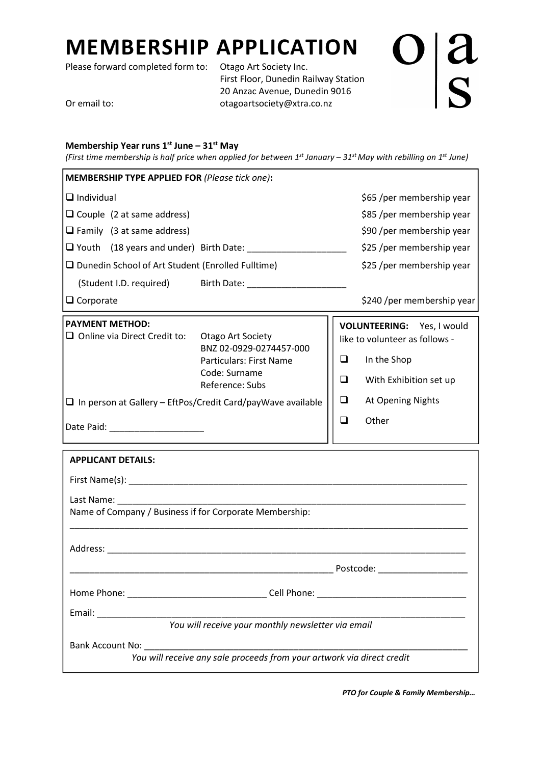## MEMBERSHIP APPLICATION

Please forward completed form to: Otago Art Society Inc.

 First Floor, Dunedin Railway Station 20 Anzac Avenue, Dunedin 9016 Or email to: contract to the otagoartsociety@xtra.co.nz

 $\frac{a}{s}$ 

## Membership Year runs  $1^{st}$  June –  $31^{st}$  May

(First time membership is half price when applied for between  $1^{st}$  January – 31st May with rebilling on  $1^{st}$  June)

| <b>MEMBERSHIP TYPE APPLIED FOR (Please tick one):</b>                  |                                                                                                                           |           |                                                                                                       |  |  |  |
|------------------------------------------------------------------------|---------------------------------------------------------------------------------------------------------------------------|-----------|-------------------------------------------------------------------------------------------------------|--|--|--|
| $\Box$ Individual                                                      | \$65 /per membership year                                                                                                 |           |                                                                                                       |  |  |  |
| $\Box$ Couple (2 at same address)                                      |                                                                                                                           |           | \$85 /per membership year                                                                             |  |  |  |
| $\Box$ Family (3 at same address)                                      |                                                                                                                           |           | \$90 /per membership year                                                                             |  |  |  |
|                                                                        |                                                                                                                           |           | \$25 /per membership year                                                                             |  |  |  |
| □ Dunedin School of Art Student (Enrolled Fulltime)                    |                                                                                                                           |           | \$25 /per membership year                                                                             |  |  |  |
|                                                                        |                                                                                                                           |           |                                                                                                       |  |  |  |
| $\Box$ Corporate                                                       |                                                                                                                           |           | \$240 /per membership year                                                                            |  |  |  |
| <b>PAYMENT METHOD:</b><br>$\Box$ Online via Direct Credit to:          | <b>Otago Art Society</b><br>BNZ 02-0929-0274457-000<br><b>Particulars: First Name</b><br>Code: Surname<br>Reference: Subs | ❏<br>❏    | VOLUNTEERING: Yes, I would<br>like to volunteer as follows -<br>In the Shop<br>With Exhibition set up |  |  |  |
| $\Box$ In person at Gallery - EftPos/Credit Card/payWave available     |                                                                                                                           | ⊔         | At Opening Nights                                                                                     |  |  |  |
|                                                                        |                                                                                                                           |           | Other                                                                                                 |  |  |  |
| <b>APPLICANT DETAILS:</b>                                              |                                                                                                                           |           |                                                                                                       |  |  |  |
| Last Name: Name                                                        |                                                                                                                           |           |                                                                                                       |  |  |  |
| Name of Company / Business if for Corporate Membership:                |                                                                                                                           |           |                                                                                                       |  |  |  |
| Address:                                                               |                                                                                                                           |           |                                                                                                       |  |  |  |
|                                                                        |                                                                                                                           | Postcode: |                                                                                                       |  |  |  |
|                                                                        |                                                                                                                           |           |                                                                                                       |  |  |  |
| Email:                                                                 |                                                                                                                           |           |                                                                                                       |  |  |  |
| You will receive your monthly newsletter via email                     |                                                                                                                           |           |                                                                                                       |  |  |  |
| Bank Account No:                                                       |                                                                                                                           |           |                                                                                                       |  |  |  |
| You will receive any sale proceeds from your artwork via direct credit |                                                                                                                           |           |                                                                                                       |  |  |  |

PTO for Couple & Family Membership…